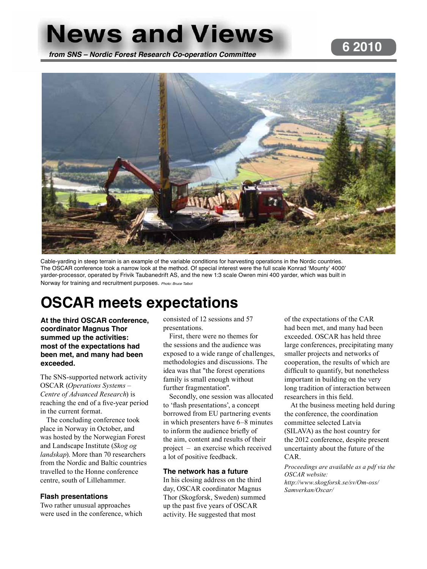# **News and Views 6 2010 from SNS – Nordic Forest Research Co-operation Committee**



Cable-yarding in steep terrain is an example of the variable conditions for harvesting operations in the Nordic countries. The OSCAR conference took a narrow look at the method. Of special interest were the full scale Konrad 'Mounty' 4000' yarder-processor, operated by Frivik Taubanedrift AS, and the new 1:3 scale Owren mini 400 yarder, which was built in Norway for training and recruitment purposes. Photo: Bruce Talbot

# **OSCAR meets expectations**

**At the third OSCAR conference, coordinator Magnus Thor summed up the activities: most of the expectations had been met, and many had been exceeded.**

The SNS-supported network activity OSCAR (*Operations Systems – Centre of Advanced Research*) is reaching the end of a five-year period in the current format.

The concluding conference took place in Norway in October, and was hosted by the Norwegian Forest and Landscape Institute (*Skog og landskap*). More than 70 researchers from the Nordic and Baltic countries travelled to the Honne conference centre, south of Lillehammer.

### **Flash presentations**

Two rather unusual approaches were used in the conference, which

consisted of 12 sessions and 57 presentations.

First, there were no themes for the sessions and the audience was exposed to a wide range of challenges, methodologies and discussions. The idea was that "the forest operations family is small enough without further fragmentation".

Secondly, one session was allocated to 'flash presentations', a concept borrowed from EU partnering events in which presenters have 6–8 minutes to inform the audience briefly of the aim, content and results of their project – an exercise which received a lot of positive feedback.

#### **The network has a future**

In his closing address on the third day, OSCAR coordinator Magnus Thor (Skogforsk, Sweden) summed up the past five years of OSCAR activity. He suggested that most

of the expectations of the CAR had been met, and many had been exceeded. OSCAR has held three large conferences, precipitating many smaller projects and networks of cooperation, the results of which are difficult to quantify, but nonetheless important in building on the very long tradition of interaction between researchers in this field.

At the business meeting held during the conference, the coordination committee selected Latvia (SILAVA) as the host country for the 2012 conference, despite present uncertainty about the future of the CAR.

*Proceedings are available as a pdf via the OSCAR website: http://www.skogforsk.se/sv/Om-oss/ Samverkan/Oscar/*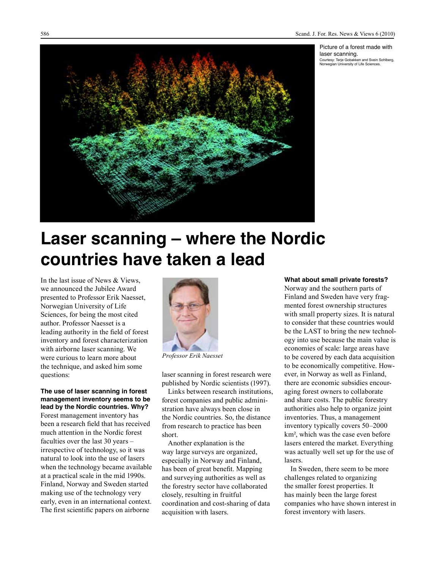Picture of a forest made with laser scanning. Courtesy: Terje Gobakken and Svein Sohlberg, Norwegian University of Life Sciences.



# **Laser scanning – where the Nordic countries have taken a lead**

In the last issue of News & Views, we announced the Jubilee Award presented to Professor Erik Naesset, Norwegian University of Life Sciences, for being the most cited author. Professor Naesset is a leading authority in the field of forest inventory and forest characterization with airborne laser scanning. We were curious to learn more about the technique, and asked him some questions:

#### **The use of laser scanning in forest management inventory seems to be lead by the Nordic countries. Why?**

Forest management inventory has been a research field that has received much attention in the Nordic forest faculties over the last 30 years – irrespective of technology, so it was natural to look into the use of lasers when the technology became available at a practical scale in the mid 1990s. Finland, Norway and Sweden started making use of the technology very early, even in an international context. The first scientific papers on airborne



*Professor Erik Naesset*

laser scanning in forest research were published by Nordic scientists (1997).

Links between research institutions, forest companies and public administration have always been close in the Nordic countries. So, the distance from research to practice has been short.

Another explanation is the way large surveys are organized, especially in Norway and Finland, has been of great benefit. Mapping and surveying authorities as well as the forestry sector have collaborated closely, resulting in fruitful coordination and cost-sharing of data acquisition with lasers.

#### **What about small private forests?**

Norway and the southern parts of Finland and Sweden have very fragmented forest ownership structures with small property sizes. It is natural to consider that these countries would be the LAST to bring the new technology into use because the main value is economies of scale: large areas have to be covered by each data acquisition to be economically competitive. However, in Norway as well as Finland, there are economic subsidies encouraging forest owners to collaborate and share costs. The public forestry authorities also help to organize joint inventories. Thus, a management inventory typically covers 50–2000 km², which was the case even before lasers entered the market. Everything was actually well set up for the use of lasers.

In Sweden, there seem to be more challenges related to organizing the smaller forest properties. It has mainly been the large forest companies who have shown interest in forest inventory with lasers.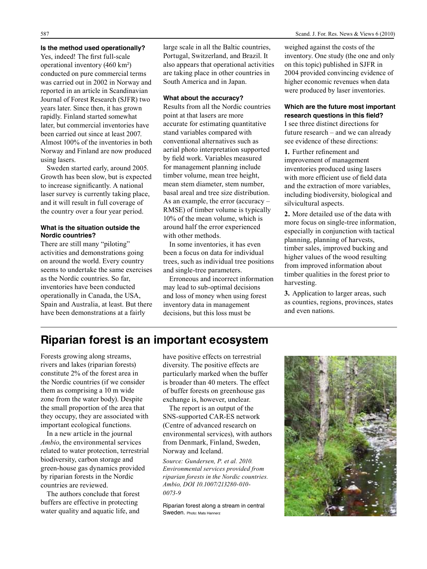#### **Is the method used operationally?**

Yes, indeed! The first full-scale operational inventory (460 km²) conducted on pure commercial terms was carried out in 2002 in Norway and reported in an article in Scandinavian Journal of Forest Research (SJFR) two years later. Since then, it has grown rapidly. Finland started somewhat later, but commercial inventories have been carried out since at least 2007. Almost 100% of the inventories in both Norway and Finland are now produced using lasers.

Sweden started early, around 2005. Growth has been slow, but is expected to increase significantly. A national laser survey is currently taking place, and it will result in full coverage of the country over a four year period.

#### **What is the situation outside the Nordic countries?**

There are still many "piloting" activities and demonstrations going on around the world. Every country seems to undertake the same exercises as the Nordic countries. So far, inventories have been conducted operationally in Canada, the USA, Spain and Australia, at least. But there have been demonstrations at a fairly

large scale in all the Baltic countries, Portugal, Switzerland, and Brazil. It also appears that operational activities are taking place in other countries in South America and in Japan.

#### **What about the accuracy?**

Results from all the Nordic countries point at that lasers are more accurate for estimating quantitative stand variables compared with conventional alternatives such as aerial photo interpretation supported by field work. Variables measured for management planning include timber volume, mean tree height, mean stem diameter, stem number, basal areal and tree size distribution. As an example, the error (accuracy – RMSE) of timber volume is typically 10% of the mean volume, which is around half the error experienced with other methods.

In some inventories, it has even been a focus on data for individual trees, such as individual tree positions and single-tree parameters.

Erroneous and incorrect information may lead to sub-optimal decisions and loss of money when using forest inventory data in management decisions, but this loss must be

weighed against the costs of the inventory. One study (the one and only on this topic) published in SJFR in 2004 provided convincing evidence of higher economic revenues when data were produced by laser inventories.

#### **Which are the future most important research questions in this field?**

I see three distinct directions for future research – and we can already see evidence of these directions:

1. Further refinement and improvement of management inventories produced using lasers with more efficient use of field data and the extraction of more variables, including biodiversity, biological and silvicultural aspects.

**2.** More detailed use of the data with more focus on single-tree information, especially in conjunction with tactical planning, planning of harvests, timber sales, improved bucking and higher values of the wood resulting from improved information about timber qualities in the forest prior to harvesting.

**3.** Application to larger areas, such as counties, regions, provinces, states and even nations.

### **Riparian forest is an important ecosystem**

Forests growing along streams, rivers and lakes (riparian forests) constitute 2% of the forest area in the Nordic countries (if we consider them as comprising a 10 m wide zone from the water body). Despite the small proportion of the area that they occupy, they are associated with important ecological functions.

In a new article in the journal *Ambio*, the environmental services related to water protection, terrestrial biodiversity, carbon storage and green-house gas dynamics provided by riparian forests in the Nordic countries are reviewed.

The authors conclude that forest buffers are effective in protecting water quality and aquatic life, and have positive effects on terrestrial diversity. The positive effects are particularly marked when the buffer is broader than 40 meters. The effect of buffer forests on greenhouse gas exchange is, however, unclear.

The report is an output of the SNS-supported CAR-ES network (Centre of advanced research on environmental services), with authors from Denmark, Finland, Sweden, Norway and Iceland.

*Source: Gundersen, P. et al. 2010. Environmental services provided from riparian forests in the Nordic countries. Ambio, DOI 10.1007/213280-010- 0073-9*

Riparian forest along a stream in central Sweden. Photo: Mats Hannerz